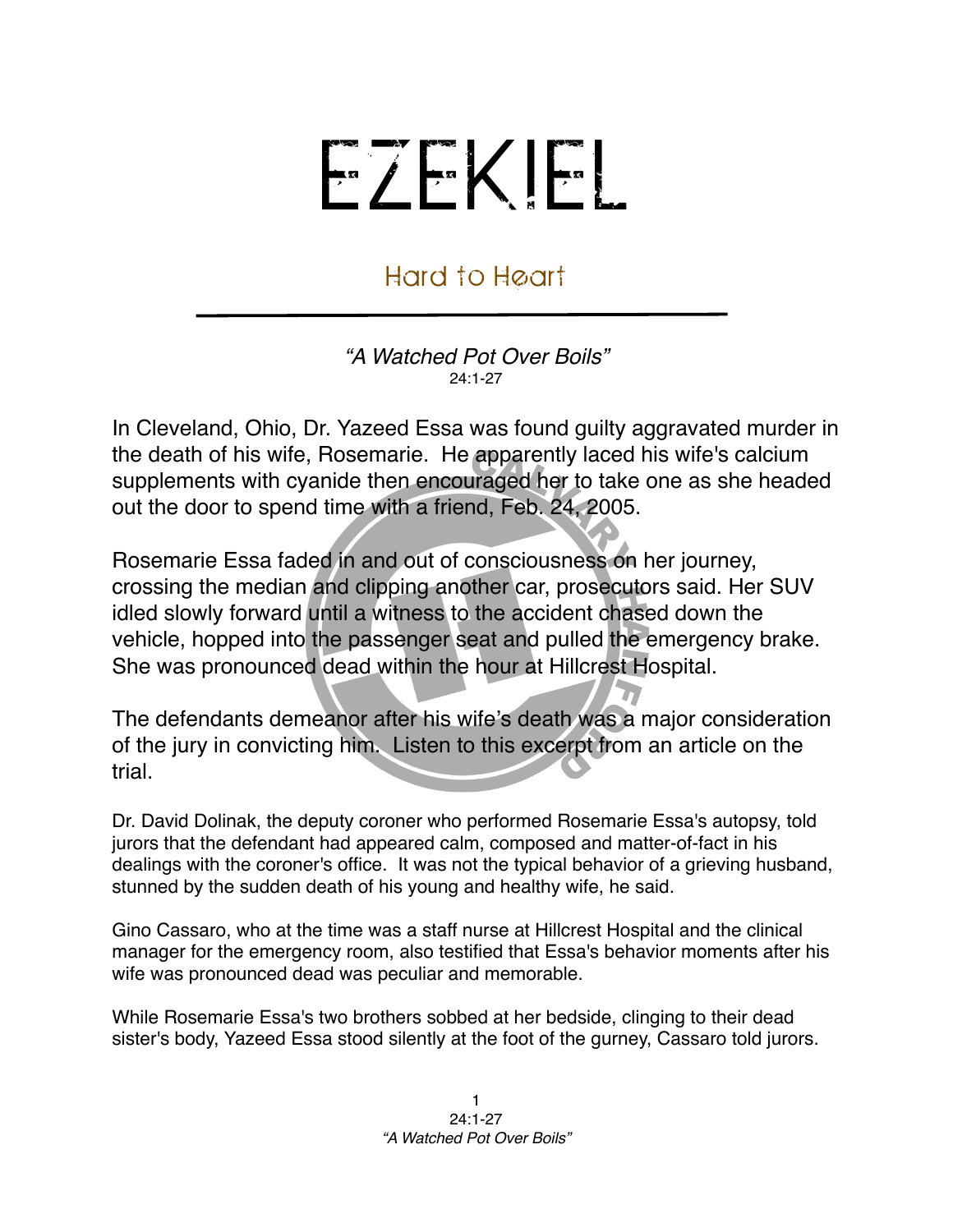## EZEKIEL

## Hard to Heart

*"A Watched Pot Over Boils"* 24:1-27

In Cleveland, Ohio, Dr. Yazeed Essa was found guilty aggravated murder in the death of his wife, Rosemarie. He apparently laced his wife's calcium supplements with cyanide then encouraged her to take one as she headed out the door to spend time with a friend, Feb. 24, 2005.

Rosemarie Essa faded in and out of consciousness on her journey, crossing the median and clipping another car, prosecutors said. Her SUV idled slowly forward until a witness to the accident chased down the vehicle, hopped into the passenger seat and pulled the emergency brake. She was pronounced dead within the hour at Hillcrest Hospital.

The defendants demeanor after his wife's death was a major consideration of the jury in convicting him. Listen to this excerpt from an article on the trial.

Dr. David Dolinak, the deputy coroner who performed Rosemarie Essa's autopsy, told jurors that the defendant had appeared calm, composed and matter-of-fact in his dealings with the coroner's office. It was not the typical behavior of a grieving husband, stunned by the sudden death of his young and healthy wife, he said.

Gino Cassaro, who at the time was a staff nurse at Hillcrest Hospital and the clinical manager for the emergency room, also testified that Essa's behavior moments after his wife was pronounced dead was peculiar and memorable.

While Rosemarie Essa's two brothers sobbed at her bedside, clinging to their dead sister's body, Yazeed Essa stood silently at the foot of the gurney, Cassaro told jurors.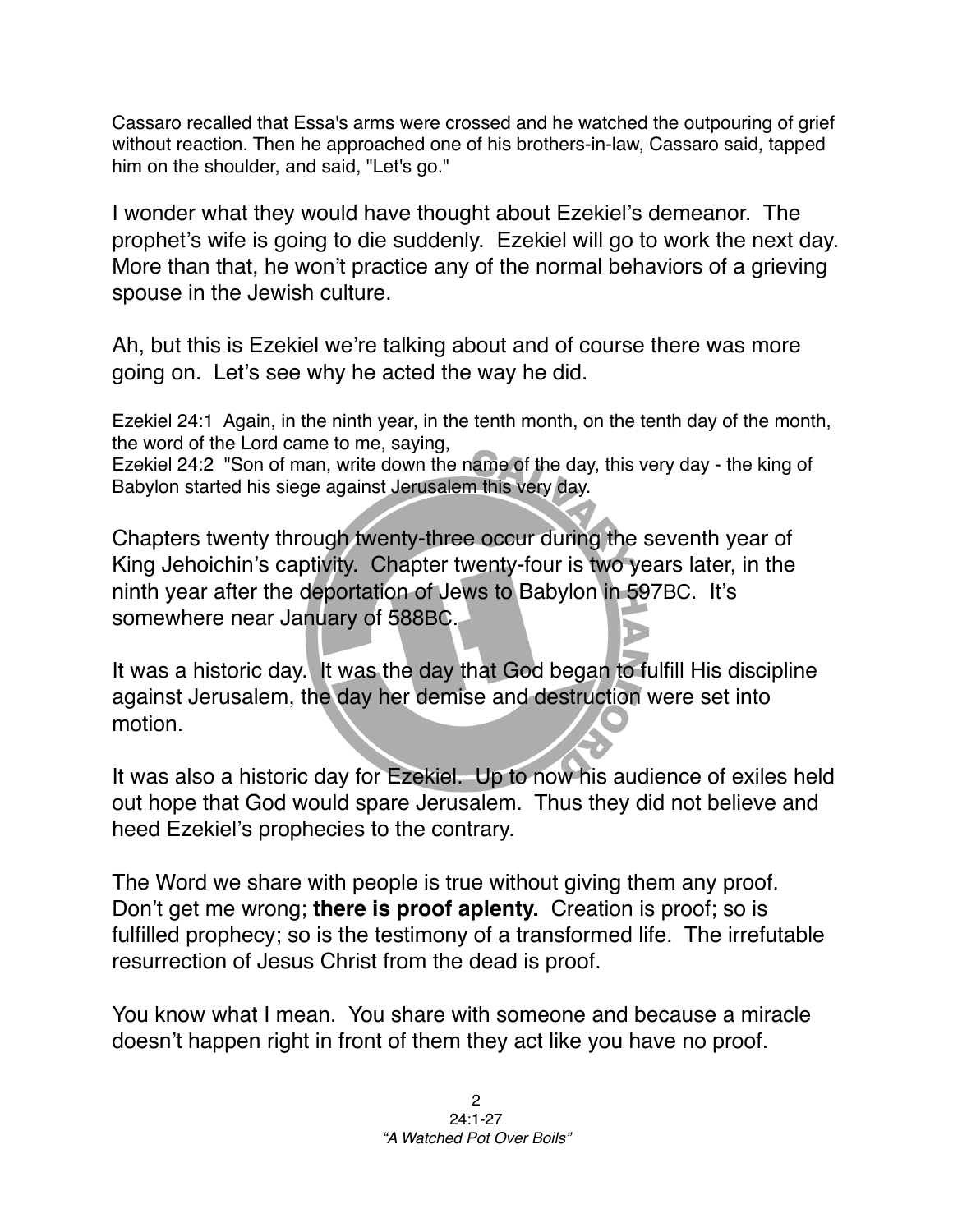Cassaro recalled that Essa's arms were crossed and he watched the outpouring of grief without reaction. Then he approached one of his brothers-in-law, Cassaro said, tapped him on the shoulder, and said, "Let's go."

I wonder what they would have thought about Ezekiel's demeanor. The prophet's wife is going to die suddenly. Ezekiel will go to work the next day. More than that, he won't practice any of the normal behaviors of a grieving spouse in the Jewish culture.

Ah, but this is Ezekiel we're talking about and of course there was more going on. Let's see why he acted the way he did.

Ezekiel 24:1 Again, in the ninth year, in the tenth month, on the tenth day of the month, the word of the Lord came to me, saying,

Ezekiel 24:2 "Son of man, write down the name of the day, this very day - the king of Babylon started his siege against Jerusalem this very day.

Chapters twenty through twenty-three occur during the seventh year of King Jehoichin's captivity. Chapter twenty-four is two years later, in the ninth year after the deportation of Jews to Babylon in 597BC. It's somewhere near January of 588BC.

It was a historic day. It was the day that God began to fulfill His discipline against Jerusalem, the day her demise and destruction were set into motion.

It was also a historic day for Ezekiel. Up to now his audience of exiles held out hope that God would spare Jerusalem. Thus they did not believe and heed Ezekiel's prophecies to the contrary.

The Word we share with people is true without giving them any proof. Don't get me wrong; **there is proof aplenty.** Creation is proof; so is fulfilled prophecy; so is the testimony of a transformed life. The irrefutable resurrection of Jesus Christ from the dead is proof.

You know what I mean. You share with someone and because a miracle doesn't happen right in front of them they act like you have no proof.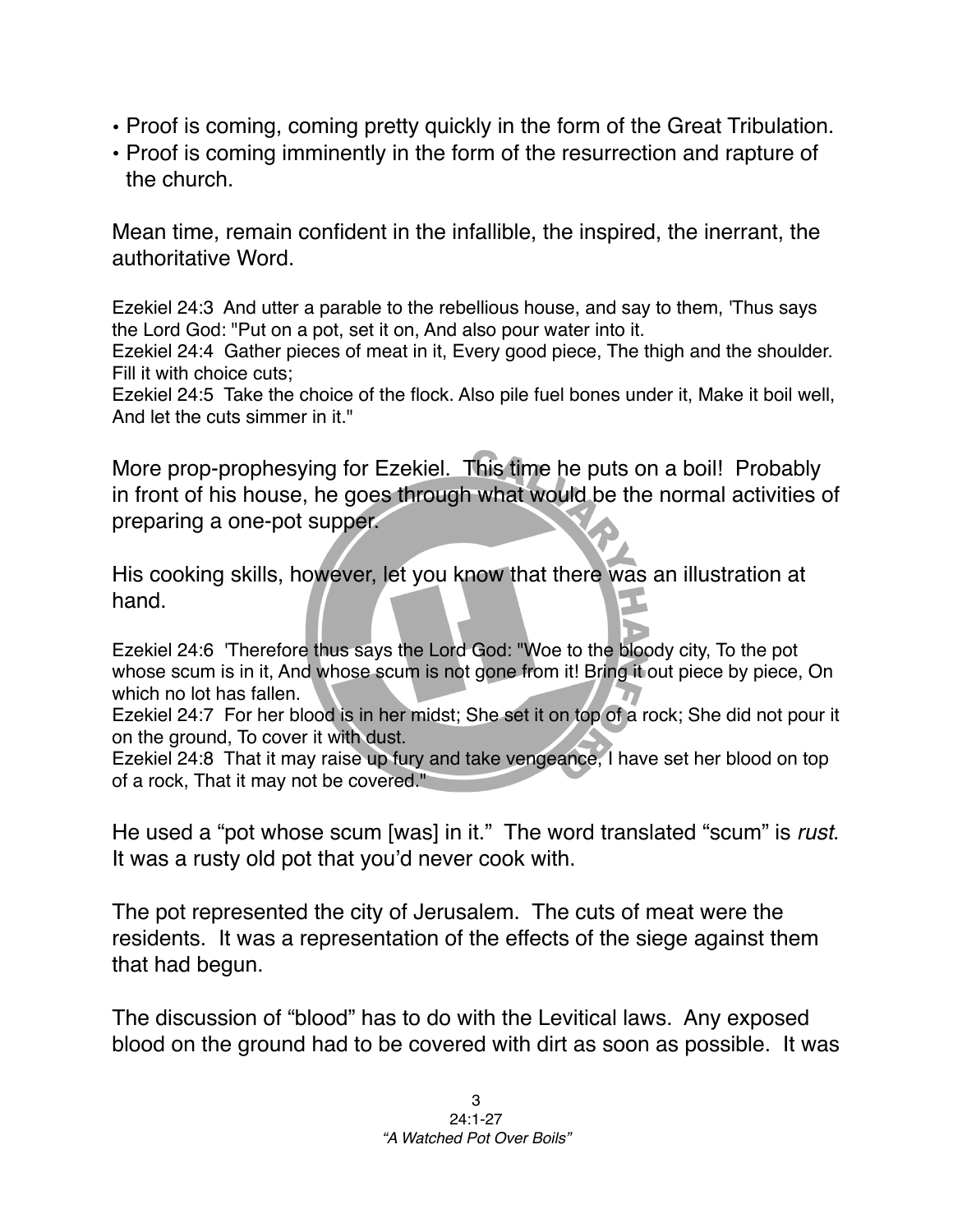- Proof is coming, coming pretty quickly in the form of the Great Tribulation.
- Proof is coming imminently in the form of the resurrection and rapture of the church.

Mean time, remain confident in the infallible, the inspired, the inerrant, the authoritative Word.

Ezekiel 24:3 And utter a parable to the rebellious house, and say to them, 'Thus says the Lord God: "Put on a pot, set it on, And also pour water into it.

Ezekiel 24:4 Gather pieces of meat in it, Every good piece, The thigh and the shoulder. Fill it with choice cuts;

Ezekiel 24:5 Take the choice of the flock. Also pile fuel bones under it, Make it boil well, And let the cuts simmer in it."

More prop-prophesying for Ezekiel. This time he puts on a boil! Probably in front of his house, he goes through what would be the normal activities of preparing a one-pot supper.

His cooking skills, however, let you know that there was an illustration at hand.

Ezekiel 24:6 'Therefore thus says the Lord God: "Woe to the bloody city, To the pot whose scum is in it, And whose scum is not gone from it! Bring it out piece by piece, On which no lot has fallen.

Ezekiel 24:7 For her blood is in her midst; She set it on top of a rock; She did not pour it on the ground, To cover it with dust.

Ezekiel 24:8 That it may raise up fury and take vengeance, I have set her blood on top of a rock, That it may not be covered."

He used a "pot whose scum [was] in it." The word translated "scum" is *rust*. It was a rusty old pot that you'd never cook with.

The pot represented the city of Jerusalem. The cuts of meat were the residents. It was a representation of the effects of the siege against them that had begun.

The discussion of "blood" has to do with the Levitical laws. Any exposed blood on the ground had to be covered with dirt as soon as possible. It was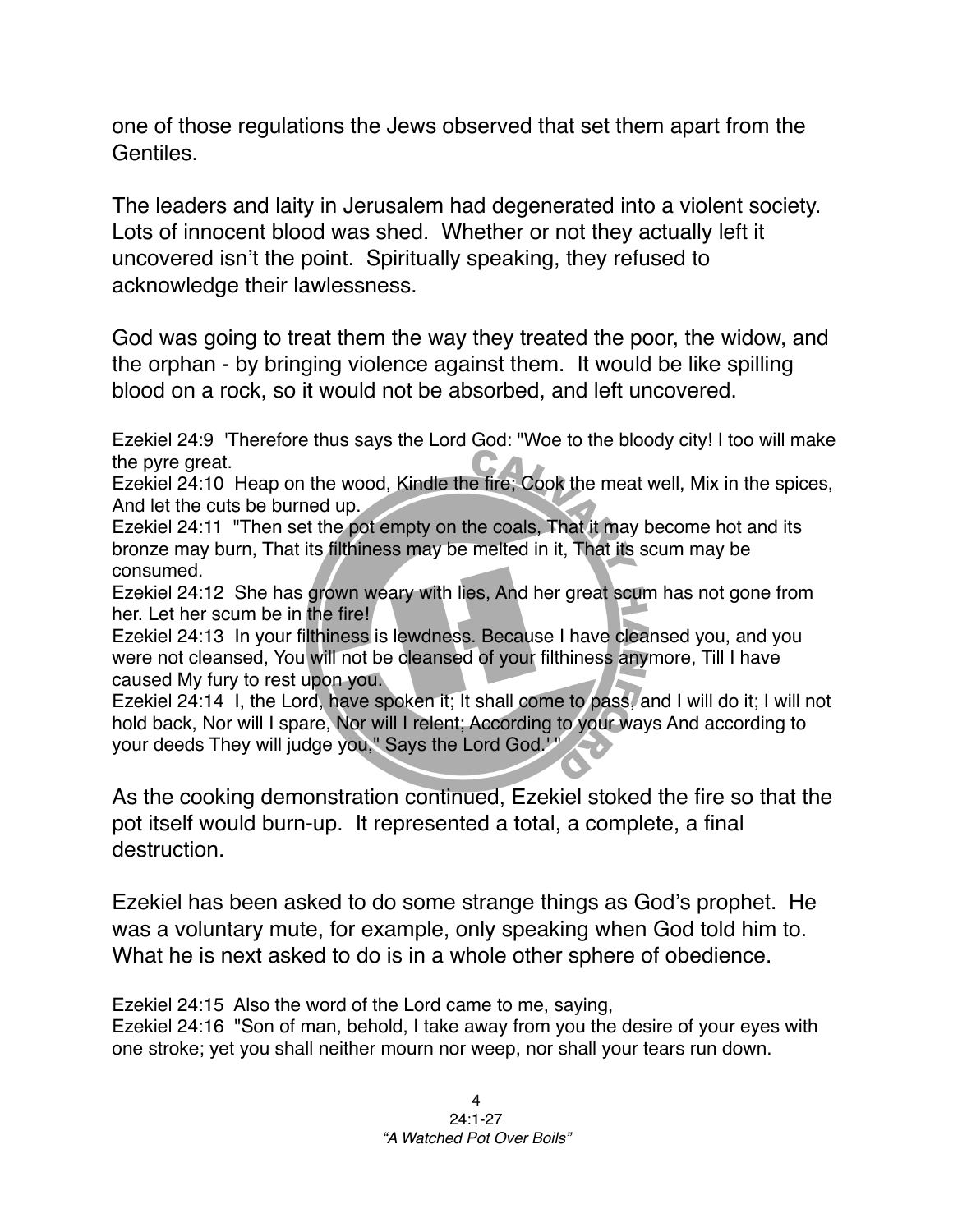one of those regulations the Jews observed that set them apart from the Gentiles.

The leaders and laity in Jerusalem had degenerated into a violent society. Lots of innocent blood was shed. Whether or not they actually left it uncovered isn't the point. Spiritually speaking, they refused to acknowledge their lawlessness.

God was going to treat them the way they treated the poor, the widow, and the orphan - by bringing violence against them. It would be like spilling blood on a rock, so it would not be absorbed, and left uncovered.

Ezekiel 24:9 'Therefore thus says the Lord God: "Woe to the bloody city! I too will make the pyre great.

Ezekiel 24:10 Heap on the wood, Kindle the fire; Cook the meat well, Mix in the spices, And let the cuts be burned up.

Ezekiel 24:11 "Then set the pot empty on the coals, That it may become hot and its bronze may burn, That its filthiness may be melted in it, That its scum may be consumed.

Ezekiel 24:12 She has grown weary with lies, And her great scum has not gone from her. Let her scum be in the fire!

Ezekiel 24:13 In your filthiness is lewdness. Because I have cleansed you, and you were not cleansed, You will not be cleansed of your filthiness anymore, Till I have caused My fury to rest upon you.

Ezekiel 24:14 I, the Lord, have spoken it; It shall come to pass, and I will do it; I will not hold back, Nor will I spare, Nor will I relent; According to your ways And according to your deeds They will judge you," Says the Lord God.<sup>1"</sup>

As the cooking demonstration continued, Ezekiel stoked the fire so that the pot itself would burn-up. It represented a total, a complete, a final destruction.

Ezekiel has been asked to do some strange things as God's prophet. He was a voluntary mute, for example, only speaking when God told him to. What he is next asked to do is in a whole other sphere of obedience.

Ezekiel 24:15 Also the word of the Lord came to me, saying,

Ezekiel 24:16 "Son of man, behold, I take away from you the desire of your eyes with one stroke; yet you shall neither mourn nor weep, nor shall your tears run down.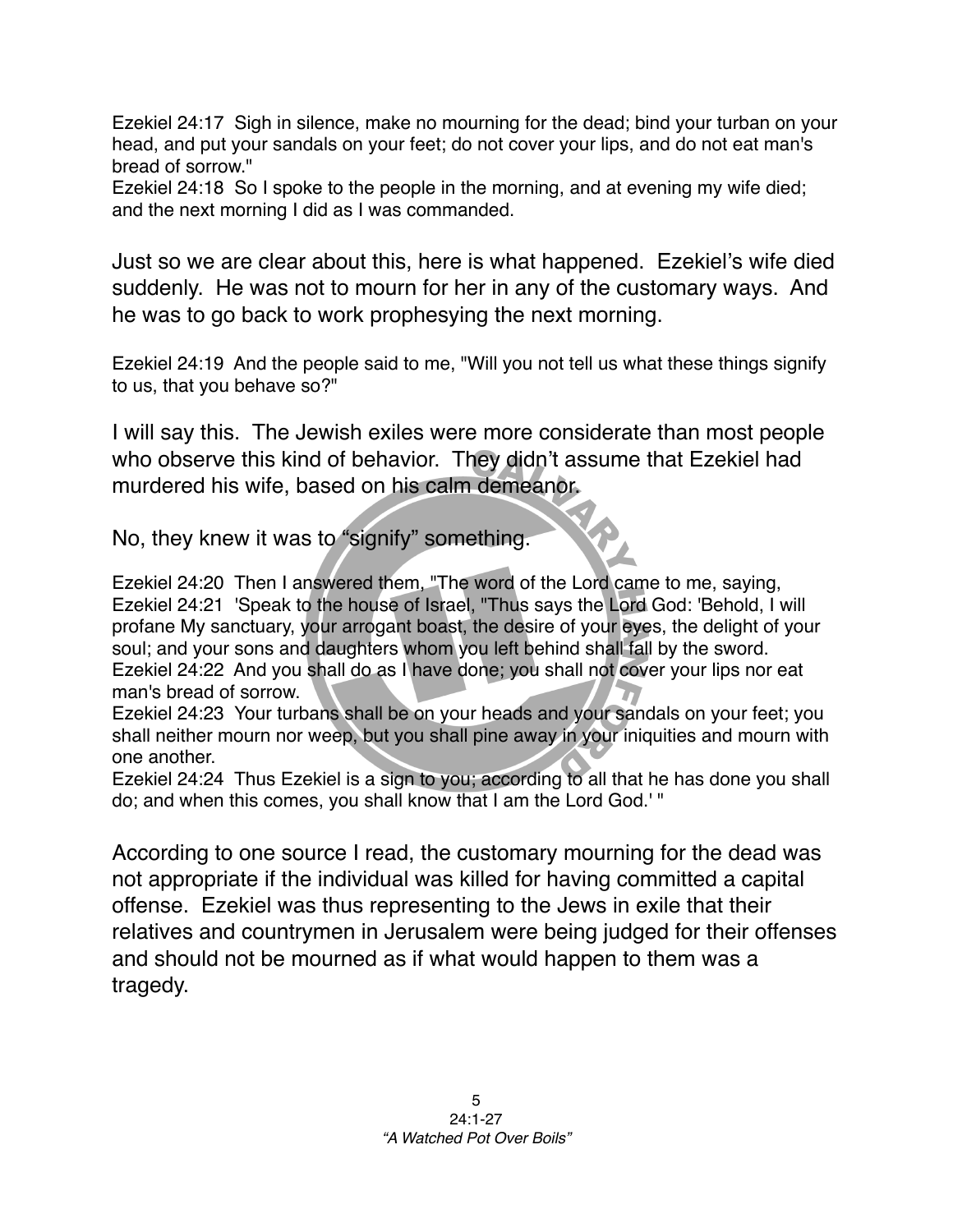Ezekiel 24:17 Sigh in silence, make no mourning for the dead; bind your turban on your head, and put your sandals on your feet; do not cover your lips, and do not eat man's bread of sorrow."

Ezekiel 24:18 So I spoke to the people in the morning, and at evening my wife died; and the next morning I did as I was commanded.

Just so we are clear about this, here is what happened. Ezekiel's wife died suddenly. He was not to mourn for her in any of the customary ways. And he was to go back to work prophesying the next morning.

Ezekiel 24:19 And the people said to me, "Will you not tell us what these things signify to us, that you behave so?"

I will say this. The Jewish exiles were more considerate than most people who observe this kind of behavior. They didn't assume that Ezekiel had murdered his wife, based on his calm demeanor.

No, they knew it was to "signify" something.

Ezekiel 24:20 Then I answered them, "The word of the Lord came to me, saying, Ezekiel 24:21 'Speak to the house of Israel, "Thus says the Lord God: 'Behold, I will profane My sanctuary, your arrogant boast, the desire of your eyes, the delight of your soul; and your sons and daughters whom you left behind shall fall by the sword. Ezekiel 24:22 And you shall do as I have done; you shall not cover your lips nor eat man's bread of sorrow.

Ezekiel 24:23 Your turbans shall be on your heads and your sandals on your feet; you shall neither mourn nor weep, but you shall pine away in your iniquities and mourn with one another.

Ezekiel 24:24 Thus Ezekiel is a sign to you; according to all that he has done you shall do; and when this comes, you shall know that I am the Lord God.' "

According to one source I read, the customary mourning for the dead was not appropriate if the individual was killed for having committed a capital offense. Ezekiel was thus representing to the Jews in exile that their relatives and countrymen in Jerusalem were being judged for their offenses and should not be mourned as if what would happen to them was a tragedy.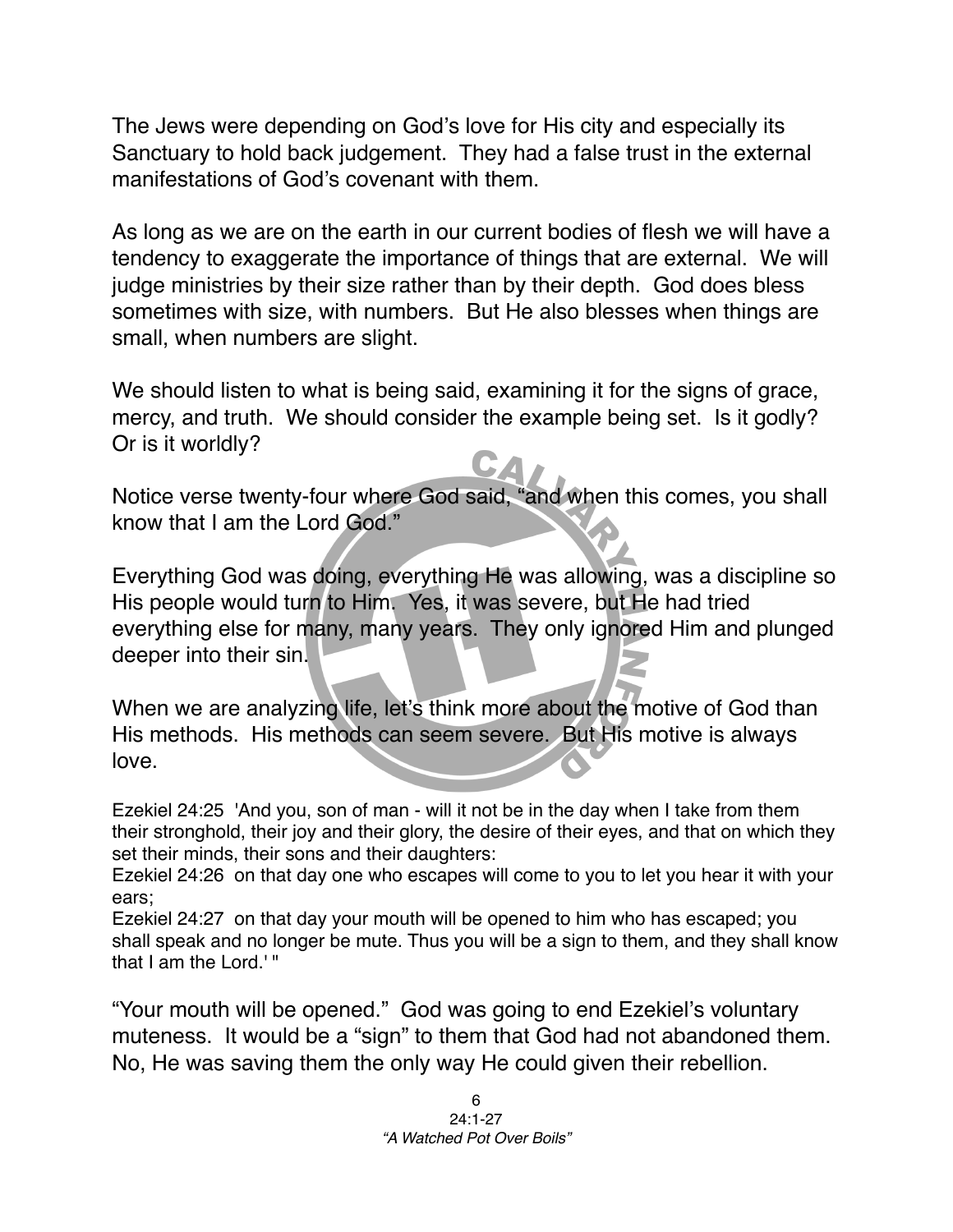The Jews were depending on God's love for His city and especially its Sanctuary to hold back judgement. They had a false trust in the external manifestations of God's covenant with them.

As long as we are on the earth in our current bodies of flesh we will have a tendency to exaggerate the importance of things that are external. We will judge ministries by their size rather than by their depth. God does bless sometimes with size, with numbers. But He also blesses when things are small, when numbers are slight.

We should listen to what is being said, examining it for the signs of grace, mercy, and truth. We should consider the example being set. Is it godly? Or is it worldly?

Notice verse twenty-four where God said, "and when this comes, you shall know that I am the Lord God."

Everything God was doing, everything He was allowing, was a discipline so His people would turn to Him. Yes, it was severe, but He had tried everything else for many, many years. They only ignored Him and plunged deeper into their sin.

When we are analyzing life, let's think more about the motive of God than His methods. His methods can seem severe. But His motive is always love.

Ezekiel 24:25 'And you, son of man - will it not be in the day when I take from them their stronghold, their joy and their glory, the desire of their eyes, and that on which they set their minds, their sons and their daughters:

Ezekiel 24:26 on that day one who escapes will come to you to let you hear it with your ears;

Ezekiel 24:27 on that day your mouth will be opened to him who has escaped; you shall speak and no longer be mute. Thus you will be a sign to them, and they shall know that I am the Lord.' "

"Your mouth will be opened." God was going to end Ezekiel's voluntary muteness. It would be a "sign" to them that God had not abandoned them. No, He was saving them the only way He could given their rebellion.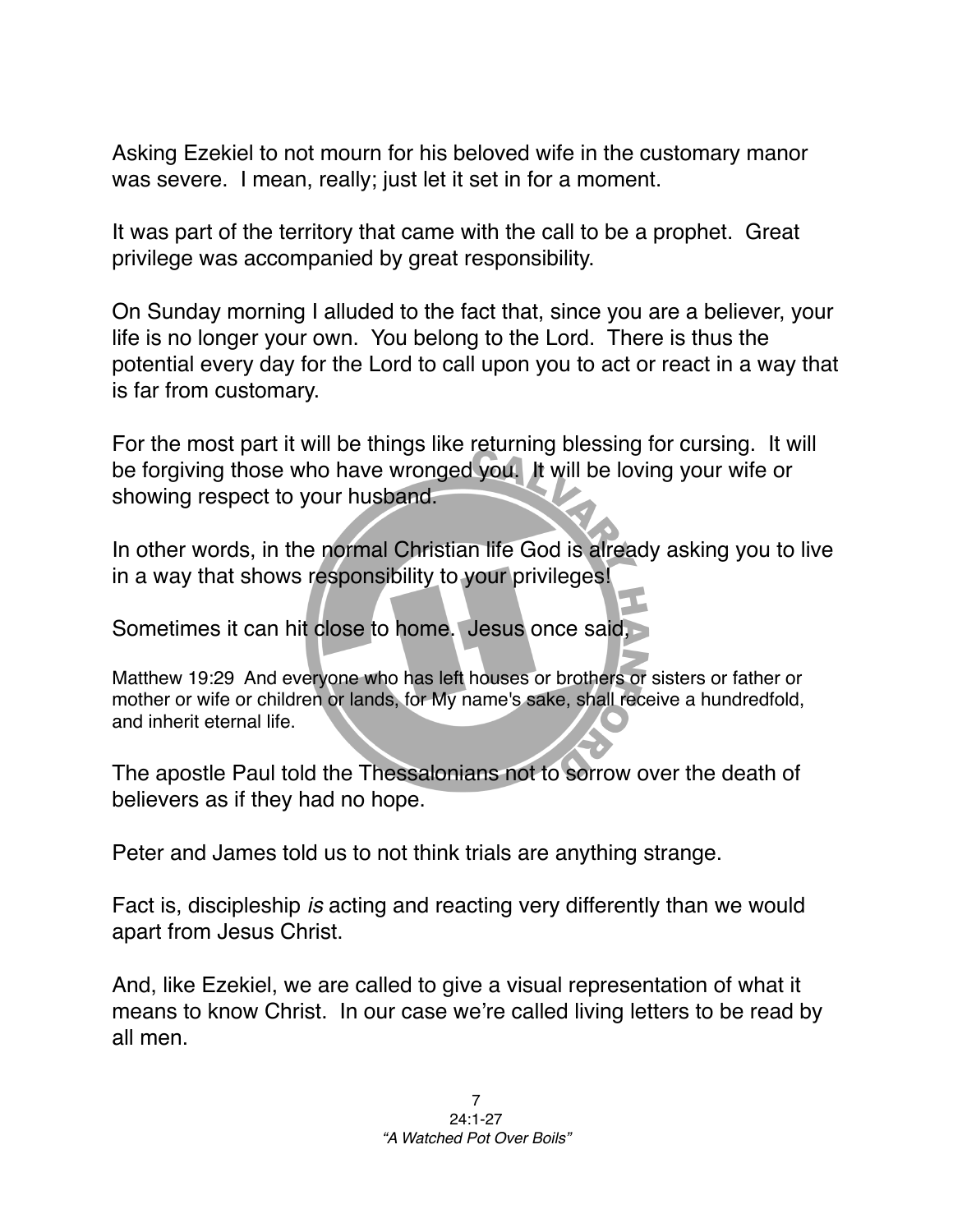Asking Ezekiel to not mourn for his beloved wife in the customary manor was severe. I mean, really; just let it set in for a moment.

It was part of the territory that came with the call to be a prophet. Great privilege was accompanied by great responsibility.

On Sunday morning I alluded to the fact that, since you are a believer, your life is no longer your own. You belong to the Lord. There is thus the potential every day for the Lord to call upon you to act or react in a way that is far from customary.

For the most part it will be things like returning blessing for cursing. It will be forgiving those who have wronged you. It will be loving your wife or showing respect to your husband.

In other words, in the normal Christian life God is already asking you to live in a way that shows responsibility to your privileges!

Sometimes it can hit close to home. Jesus once said,

Matthew 19:29 And everyone who has left houses or brothers or sisters or father or mother or wife or children or lands, for My name's sake, shall receive a hundredfold, and inherit eternal life.

The apostle Paul told the Thessalonians not to sorrow over the death of believers as if they had no hope.

Peter and James told us to not think trials are anything strange.

Fact is, discipleship *is* acting and reacting very differently than we would apart from Jesus Christ.

And, like Ezekiel, we are called to give a visual representation of what it means to know Christ. In our case we're called living letters to be read by all men.